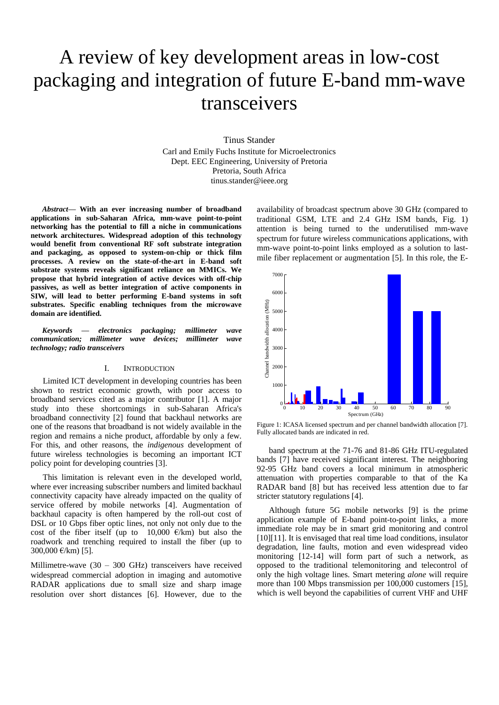# A review of key development areas in low-cost packaging and integration of future E-band mm-wave transceivers

Tinus Stander Carl and Emily Fuchs Institute for Microelectronics Dept. EEC Engineering, University of Pretoria Pretoria, South Africa tinus.stander@ieee.org

*Abstract***— With an ever increasing number of broadband applications in sub-Saharan Africa, mm-wave point-to-point networking has the potential to fill a niche in communications network architectures. Widespread adoption of this technology would benefit from conventional RF soft substrate integration and packaging, as opposed to system-on-chip or thick film processes. A review on the state-of-the-art in E-band soft substrate systems reveals significant reliance on MMICs. We propose that hybrid integration of active devices with off-chip passives, as well as better integration of active components in SIW, will lead to better performing E-band systems in soft substrates. Specific enabling techniques from the microwave domain are identified.**

*Keywords — electronics packaging; millimeter wave communication; millimeter wave devices; millimeter wave technology; radio transceivers*

#### I. INTRODUCTION

Limited ICT development in developing countries has been shown to restrict economic growth, with poor access to broadband services cited as a major contributor [1]. A major study into these shortcomings in sub-Saharan Africa's broadband connectivity [2] found that backhaul networks are one of the reasons that broadband is not widely available in the region and remains a niche product, affordable by only a few. For this, and other reasons, the *indigenous* development of future wireless technologies is becoming an important ICT policy point for developing countries [3].

This limitation is relevant even in the developed world, where ever increasing subscriber numbers and limited backhaul connectivity capacity have already impacted on the quality of service offered by mobile networks [4]. Augmentation of backhaul capacity is often hampered by the roll-out cost of DSL or 10 Gbps fiber optic lines, not only not only due to the cost of the fiber itself (up to 10,000  $\epsilon$ /km) but also the roadwork and trenching required to install the fiber (up to 300,000  $\epsilon$ /km) [5].

Millimetre-wave (30 – 300 GHz) transceivers have received widespread commercial adoption in imaging and automotive RADAR applications due to small size and sharp image resolution over short distances [6]. However, due to the

availability of broadcast spectrum above 30 GHz (compared to traditional GSM, LTE and 2.4 GHz ISM bands, Fig. 1) attention is being turned to the underutilised mm-wave spectrum for future wireless communications applications, with mm-wave point-to-point links employed as a solution to lastmile fiber replacement or augmentation [5]. In this role, the E-



Figure 1: ICASA licensed spectrum and per channel bandwidth allocation [7]. Fully allocated bands are indicated in red.

band spectrum at the 71-76 and 81-86 GHz ITU-regulated bands [7] have received significant interest. The neighboring 92-95 GHz band covers a local minimum in atmospheric attenuation with properties comparable to that of the Ka RADAR band [8] but has received less attention due to far stricter statutory regulations [4].

Although future 5G mobile networks [9] is the prime application example of E-band point-to-point links, a more immediate role may be in smart grid monitoring and control [10][11]. It is envisaged that real time load conditions, insulator degradation, line faults, motion and even widespread video monitoring [12-14] will form part of such a network, as opposed to the traditional telemonitoring and telecontrol of only the high voltage lines. Smart metering *alone* will require more than 100 Mbps transmission per 100,000 customers [15], which is well beyond the capabilities of current VHF and UHF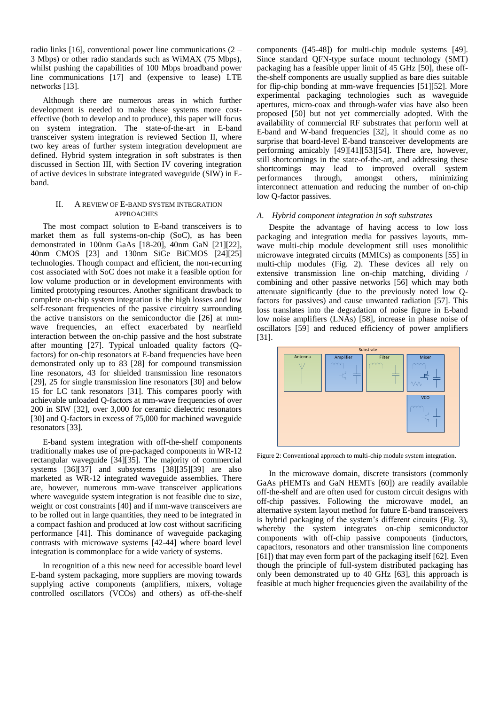radio links [16], conventional power line communications (2 – 3 Mbps) or other radio standards such as WiMAX (75 Mbps), whilst pushing the capabilities of 100 Mbps broadband power line communications [17] and (expensive to lease) LTE networks [13].

Although there are numerous areas in which further development is needed to make these systems more costeffective (both to develop and to produce), this paper will focus on system integration. The state-of-the-art in E-band transceiver system integration is reviewed Section II, where two key areas of further system integration development are defined. Hybrid system integration in soft substrates is then discussed in Section III, with Section IV covering integration of active devices in substrate integrated waveguide (SIW) in Eband.

## II. A REVIEW OF E-BAND SYSTEM INTEGRATION APPROACHES

The most compact solution to E-band transceivers is to market them as full systems-on-chip (SoC), as has been demonstrated in 100nm GaAs [18-20], 40nm GaN [21][22], 40nm CMOS [23] and 130nm SiGe BiCMOS [24][25] technologies. Though compact and efficient, the non-recurring cost associated with SoC does not make it a feasible option for low volume production or in development environments with limited prototyping resources. Another significant drawback to complete on-chip system integration is the high losses and low self-resonant frequencies of the passive circuitry surrounding the active transistors on the semiconductor die [26] at mmwave frequencies, an effect exacerbated by nearfield interaction between the on-chip passive and the host substrate after mounting [27]. Typical unloaded quality factors (Qfactors) for on-chip resonators at E-band frequencies have been demonstrated only up to 83 [28] for compound transmission line resonators, 43 for shielded transmission line resonators [29], 25 for single transmission line resonators [30] and below 15 for LC tank resonators [31]. This compares poorly with achievable unloaded Q-factors at mm-wave frequencies of over 200 in SIW [32], over 3,000 for ceramic dielectric resonators [30] and Q-factors in excess of 75,000 for machined waveguide resonators [33].

E-band system integration with off-the-shelf components traditionally makes use of pre-packaged components in WR-12 rectangular waveguide [34][35]. The majority of commercial systems [36][37] and subsystems [38][35][39] are also marketed as WR-12 integrated waveguide assemblies. There are, however, numerous mm-wave transceiver applications where waveguide system integration is not feasible due to size, weight or cost constraints [40] and if mm-wave transceivers are to be rolled out in large quantities, they need to be integrated in a compact fashion and produced at low cost without sacrificing performance [41]. This dominance of waveguide packaging contrasts with microwave systems [42-44] where board level integration is commonplace for a wide variety of systems.

In recognition of a this new need for accessible board level E-band system packaging, more suppliers are moving towards supplying active components (amplifiers, mixers, voltage controlled oscillators (VCOs) and others) as off-the-shelf

components ([45-48]) for multi-chip module systems [49]. Since standard QFN-type surface mount technology (SMT) packaging has a feasible upper limit of 45 GHz [50], these offthe-shelf components are usually supplied as bare dies suitable for flip-chip bonding at mm-wave frequencies [51][52]. More experimental packaging technologies such as waveguide apertures, micro-coax and through-wafer vias have also been proposed [50] but not yet commercially adopted. With the availability of commercial RF substrates that perform well at E-band and W-band frequencies [32], it should come as no surprise that board-level E-band transceiver developments are performing amicably [49][41][53][54]. There are, however, still shortcomings in the state-of-the-art, and addressing these shortcomings may lead to improved overall system performances through, amongst others, minimizing interconnect attenuation and reducing the number of on-chip low Q-factor passives.

## *A. Hybrid component integration in soft substrates*

Despite the advantage of having access to low loss packaging and integration media for passives layouts, mmwave multi-chip module development still uses monolithic microwave integrated circuits (MMICs) as components [55] in multi-chip modules (Fig. 2). These devices all rely on extensive transmission line on-chip matching, dividing / combining and other passive networks [56] which may both attenuate significantly (due to the previously noted low Qfactors for passives) and cause unwanted radiation [57]. This loss translates into the degradation of noise figure in E-band low noise amplifiers (LNAs) [58], increase in phase noise of oscillators [59] and reduced efficiency of power amplifiers [31].



Figure 2: Conventional approach to multi-chip module system integration.

In the microwave domain, discrete transistors (commonly GaAs pHEMTs and GaN HEMTs [60]) are readily available off-the-shelf and are often used for custom circuit designs with off-chip passives. Following the microwave model, an alternative system layout method for future E-band transceivers is hybrid packaging of the system's different circuits (Fig. 3), whereby the system integrates on-chip semiconductor components with off-chip passive components (inductors, capacitors, resonators and other transmission line components [61]) that may even form part of the packaging itself [62]. Even though the principle of full-system distributed packaging has only been demonstrated up to 40 GHz [63], this approach is feasible at much higher frequencies given the availability of the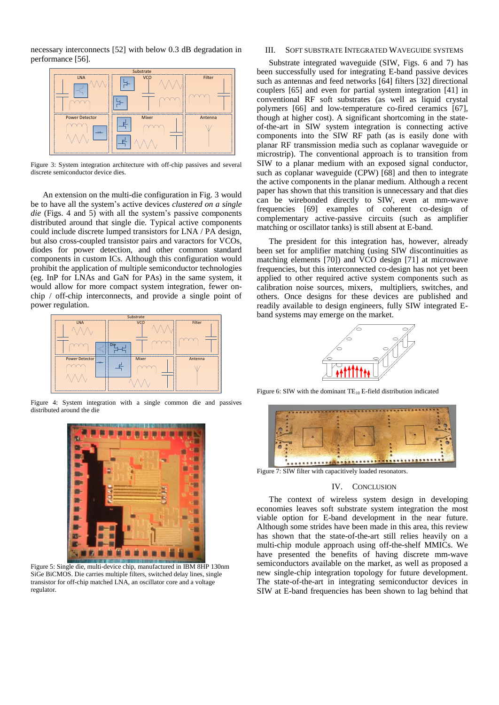necessary interconnects [52] with below 0.3 dB degradation in performance [56].



Figure 3: System integration architecture with off-chip passives and several discrete semiconductor device dies.

An extension on the multi-die configuration in Fig. 3 would be to have all the system's active devices *clustered on a single die* (Figs. 4 and 5) with all the system's passive components distributed around that single die. Typical active components could include discrete lumped transistors for LNA / PA design, but also cross-coupled transistor pairs and varactors for VCOs, diodes for power detection, and other common standard components in custom ICs. Although this configuration would prohibit the application of multiple semiconductor technologies (eg. InP for LNAs and GaN for PAs) in the same system, it would allow for more compact system integration, fewer onchip / off-chip interconnects, and provide a single point of power regulation.



Figure 4: System integration with a single common die and passives distributed around the die



Figure 5: Single die, multi-device chip, manufactured in IBM 8HP 130nm SiGe BiCMOS. Die carries multiple filters, switched delay lines, single transistor for off-chip matched LNA, an oscillator core and a voltage regulator.

## III. SOFT SUBSTRATE INTEGRATED WAVEGUIDE SYSTEMS

Substrate integrated waveguide (SIW, Figs. 6 and 7) has been successfully used for integrating E-band passive devices such as antennas and feed networks [64] filters [32] directional couplers [65] and even for partial system integration [41] in conventional RF soft substrates (as well as liquid crystal polymers [66] and low-temperature co-fired ceramics [67], though at higher cost). A significant shortcoming in the stateof-the-art in SIW system integration is connecting active components into the SIW RF path (as is easily done with planar RF transmission media such as coplanar waveguide or microstrip). The conventional approach is to transition from SIW to a planar medium with an exposed signal conductor, such as coplanar waveguide (CPW) [68] and then to integrate the active components in the planar medium. Although a recent paper has shown that this transition is unnecessary and that dies can be wirebonded directly to SIW, even at mm-wave frequencies [69] examples of coherent co-design of complementary active-passive circuits (such as amplifier matching or oscillator tanks) is still absent at E-band.

The president for this integration has, however, already been set for amplifier matching (using SIW discontinuities as matching elements [70]) and VCO design [71] at microwave frequencies, but this interconnected co-design has not yet been applied to other required active system components such as calibration noise sources, mixers, multipliers, switches, and others. Once designs for these devices are published and readily available to design engineers, fully SIW integrated Eband systems may emerge on the market.



Figure 6: SIW with the dominant  $TE_{10}$  E-field distribution indicated



Figure 7: SIW filter with capacitively loaded resonators.

### IV. CONCLUSION

The context of wireless system design in developing economies leaves soft substrate system integration the most viable option for E-band development in the near future. Although some strides have been made in this area, this review has shown that the state-of-the-art still relies heavily on a multi-chip module approach using off-the-shelf MMICs. We have presented the benefits of having discrete mm-wave semiconductors available on the market, as well as proposed a new single-chip integration topology for future development. The state-of-the-art in integrating semiconductor devices in SIW at E-band frequencies has been shown to lag behind that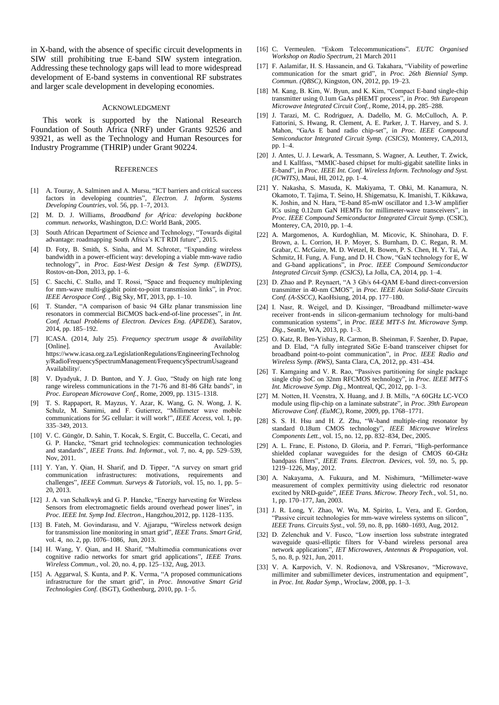in X-band, with the absence of specific circuit developments in SIW still prohibiting true E-band SIW system integration. Addressing these technology gaps will lead to more widespread development of E-band systems in conventional RF substrates and larger scale development in developing economies.

## ACKNOWLEDGMENT

This work is supported by the National Research Foundation of South Africa (NRF) under Grants 92526 and 93921, as well as the Technology and Human Resources for Industry Programme (THRIP) under Grant 90224.

## **REFERENCES**

- [1] A. Touray, A. Salminen and A. Mursu, "ICT barriers and critical success factors in developing countries", *Electron. J. Inform. Systems Developing Countries*, vol. 56, pp. 1–7, 2013.
- [2] M. D. J. Williams, *Broadband for Africa: developing backbone commun. networks*, Washington, D.C: World Bank, 2005.
- [3] South African Department of Science and Technology, "Towards digital advantage: roadmapping South Africa's ICT RDI future", 2015.
- [4] D. Foty, B. Smith, S. Sinha, and M. Schroter, "Expanding wireless bandwidth in a power-efficient way: developing a viable mm-wave radio technology", in *Proc. East-West Design & Test Symp. (EWDTS)*, Rostov-on-Don, 2013, pp. 1–6.
- [5] C. Sacchi, C. Stallo, and T. Rossi, "Space and frequency multiplexing for mm-wave multi-gigabit point-to-point transmission links", in *Proc. IEEE Aerospace Conf.* , Big Sky, MT, 2013, pp. 1–10.
- [6] T. Stander, "A comparison of basic 94 GHz planar transmission line resonators in commercial BiCMOS back-end-of-line processes", in *Int. Conf. Actual Problems of Electron. Devices Eng. (APEDE*), Saratov, 2014, pp. 185–192.
- [7] ICASA. (2014, July 25). *Frequency spectrum usage & availability* [Online]. Available: https://www.icasa.org.za/LegislationRegulations/EngineeringTechnolog y/RadioFrequencySpectrumManagement/FrequencySpectrumUsageand Availability/.
- [8] V. Dyadyuk, J. D. Bunton, and Y. J. Guo, "Study on high rate long range wireless communications in the 71-76 and 81-86 GHz bands", in *Proc. European Microwave Conf.*, Rome, 2009, pp. 1315–1318.
- [9] T. S. Rappaport, R. Mayzus, Y. Azar, K. Wang, G. N. Wong, J. K. Schulz, M. Samimi, and F. Gutierrez, "Millimeter wave mobile communications for 5G cellular: it will work!", *IEEE Access*, vol. 1, pp. 335–349, 2013.
- [10] V. C. Güngör, D. Sahin, T. Kocak, S. Ergüt, C. Buccella, C. Cecati, and G. P. Hancke, "Smart grid technologies: communication technologies and standards", *IEEE Trans. Ind. Informat*., vol. 7, no. 4, pp. 529–539, Nov, 2011.
- [11] Y. Yan, Y. Qian, H. Sharif, and D. Tipper, "A survey on smart grid communication infrastructures: motivations, requirements and challenges", *IEEE Commun. Surveys & Tutorials*, vol. 15, no. 1, pp. 5– 20, 2013.
- [12] J. A. van Schalkwyk and G. P. Hancke, "Energy harvesting for Wireless Sensors from electromagnetic fields around overhead power lines", in *Proc. IEEE Int. Symp Ind. Electron*., Hangzhou,2012, pp. 1128–1135.
- [13] B. Fateh, M. Govindarasu, and V. Ajjarapu, "Wireless network design for transmission line monitoring in smart grid", *IEEE Trans. Smart Grid*, vol. 4, no. 2, pp. 1076–1086, Jun, 2013.
- [14] H. Wang, Y. Qian, and H. Sharif, "Multimedia communications over cognitive radio networks for smart grid applications", *IEEE Trans. Wireless Commun.*, vol. 20, no. 4, pp. 125–132, Aug, 2013.
- [15] A. Aggarwal, S. Kunta, and P. K. Verma, "A proposed communications infrastructure for the smart grid", in *Proc. Innovative Smart Grid Technologies Conf.* (ISGT), Gothenburg, 2010, pp. 1–5.
- [16] C. Vermeulen. "Eskom Telecommunications"*. EUTC Organised Workshop on Radio Spectrum*, 21 March 2011
- [17] F. Aalamifar, H. S. Hassanein, and G. Takahara, "Viability of powerline communication for the smart grid", in *Proc. 26th Biennial Symp. Commun. (QBSC)*, Kingston, ON, 2012, pp. 19–23.
- [18] M. Kang, B. Kim, W. Byun, and K. Kim, "Compact E-band single-chip" transmitter using 0.1um GaAs pHEMT process", in *Proc. 9th European Microwave Integrated Circuit Conf.*, Rome, 2014, pp. 285–288.
- [19] J. Tarazi, M. C. Rodriguez, A. Dadello, M. G. McCulloch, A. P. Fattorini, S. Hwang, R. Clement, A. E. Parker, J. T. Harvey, and S. J. Mahon, "GaAs E band radio chip-set", in *Proc. IEEE Compound Semiconductor Integrated Circuit Symp. (CSICS)*, Monterey, CA,2013, pp. 1–4.
- [20] J. Antes, U. J. Lewark, A. Tessmann, S. Wagner, A. Leuther, T. Zwick, and I. Kallfass, "MMIC-based chipset for multi-gigabit satellite links in E-band", in *Proc. IEEE Int. Conf. Wireless Inform. Technology and Syst. (ICWITS)*, Maui, HI, 2012, pp. 1–4.
- [21] Y. Nakasha, S. Masuda, K. Makiyama, T. Ohki, M. Kanamura, N. Okamoto, T. Tajima, T. Seino, H. Shigematsu, K. Imanishi, T. Kikkawa, K. Joshin, and N. Hara, "E-band 85-mW oscillator and 1.3-W amplifier ICs using 0.12um GaN HEMTs for millimeter-wave transceivers", in *Proc. IEEE Compound Semiconductor Integrated Circuit Symp*. (CSIC), Monterey, CA, 2010, pp. 1–4.
- [22] A. Margomenos, A. Kurdoghlian, M. Micovic, K. Shinohara, D. F. Brown, a. L. Corrion, H. P. Moyer, S. Burnham, D. C. Regan, R. M. Grabar, C. McGuire, M. D. Wetzel, R. Bowen, P. S. Chen, H. Y. Tai, A. Schmitz, H. Fung, A. Fung, and D. H. Chow, "GaN technology for E, W and G-band applications", in *Proc. IEEE Compound Semiconductor Integrated Circuit Symp. (CSICS)*, La Jolla, CA, 2014, pp. 1–4.
- [23] D. Zhao and P. Reynaert, "A 3 Gb/s 64-OAM E-band direct-conversion transmitter in 40-nm CMOS", in *Proc. IEEE Asian Solid-State Circuits Conf. (A-SSCC)*, KaoHsiung, 2014, pp. 177–180.
- [24] I. Nasr, R. Weigel, and D. Kissinger, "Broadband millimeter-wave receiver front-ends in silicon-germanium technology for multi-band communication systems", in *Proc. IEEE MTT-S Int. Microwave Symp. Dig.*, Seattle, WA, 2013, pp. 1–3.
- [25] O. Katz, R. Ben-Yishay, R. Carmon, B. Sheinman, F. Szenher, D. Papae, and D. Elad, "A fully integrated SiGe E-band transceiver chipset for broadband point-to-point communication", in *Proc. IEEE Radio and Wireless Symp. (RWS)*, Santa Clara, CA, 2012, pp. 431–434.
- [26] T. Kamgaing and V. R. Rao, "Passives partitioning for single package single chip SoC on 32nm RFCMOS technology", in *Proc. IEEE MTT-S Int. Microwave Symp. Dig.*, Montreal, QC, 2012, pp. 1–3.
- [27] M. Notten, H. Veenstra, X. Huang, and J. B. Mills, "A 60GHz LC-VCO module using flip-chip on a laminate substrate", in *Proc. 39th European Microwave Conf. (EuMC)*, Rome, 2009, pp. 1768–1771.
- [28] S. S. H. Hsu and H. Z. Zhu, "W-band multiple-ring resonator by standard 0.18um CMOS technology", *IEEE Microwave Wireless Components Lett.*, vol. 15, no. 12, pp. 832–834, Dec, 2005.
- [29] A. L. Franc, E. Pistono, D. Gloria, and P. Ferrari, "High-performance shielded coplanar waveguides for the design of CMOS 60-GHz bandpass filters", *IEEE Trans. Electron. Devices*, vol. 59, no. 5, pp. 1219–1226, May, 2012.
- [30] A. Nakayama, A. Fukuura, and M. Nishimura, "Millimeter-wave measurement of complex permittivity using dielectric rod resonator excited by NRD-guide", *IEEE Trans. Microw. Theory Tech.*, vol. 51, no. 1, pp. 170–177, Jan, 2003.
- [31] J. R. Long, Y. Zhao, W. Wu, M. Spirito, L. Vera, and E. Gordon, "Passive circuit technologies for mm-wave wireless systems on silicon", *IEEE Trans. Circuits Syst.*, vol. 59, no. 8, pp. 1680–1693, Aug, 2012.
- [32] D. Zelenchuk and V. Fusco, "Low insertion loss substrate integrated waveguide quasi-elliptic filters for V-band wireless personal area network applications", *IET Microwaves, Antennas & Propagation*, vol. 5, no. 8, p. 921, Jun, 2011.
- [33] V. A. Karpovich, V. N. Rodionova, and VSkresanov, "Microwave, millimiter and submillimeter devices, instrumentation and equipment", in *Proc. Int. Radar Symp.*, Wroclaw, 2008, pp. 1–3.